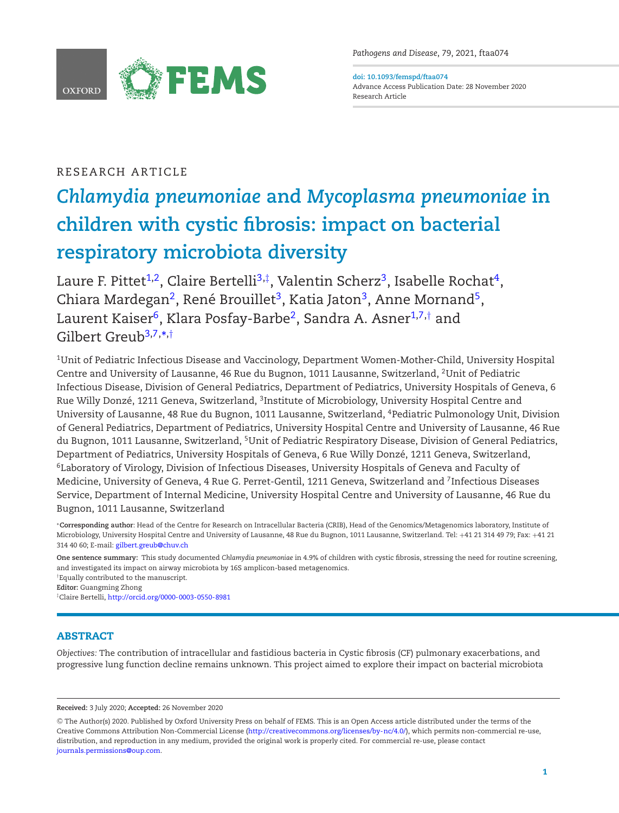

*Pathogens and Disease*, 79, 2021, ftaa074

<span id="page-0-1"></span>**doi: 10.1093/femspd/ftaa074** Advance Access Publication Date: 28 November 2020 Research Article

# RESEARCH ARTICLE

# *Chlamydia pneumoniae* **and** *Mycoplasma pneumoniae* **in children with cystic fibrosis: impact on bacterial respiratory microbiota diversity**

Laure F. Pittet<sup>[1,](#page-0-0)2</sup>, Claire Bertelli<sup>3,[‡](#page-0-3)</sup>, Valentin Scherz<sup>3</sup>, Isabelle Rochat<sup>4</sup>, Chiara Mardegan<sup>2</sup>, René Brouillet<sup>3</sup>, Katia Jaton<sup>3</sup>, Anne Mornand<sup>5</sup>, Laurent Kaiser<sup>6</sup>, Klara Posfay-Barbe<sup>2</sup>, Sandra A. Asner<sup>1,[7,](#page-0-7)[†](#page-0-8)</sup> and Gilbert Greub<sup>[3](#page-0-2)[,7,](#page-0-7)</sup>[\\*](#page-0-9),[†](#page-0-8)

<span id="page-0-4"></span><span id="page-0-2"></span><span id="page-0-0"></span>1Unit of Pediatric Infectious Disease and Vaccinology, Department Women-Mother-Child, University Hospital Centre and University of Lausanne, 46 Rue du Bugnon, 1011 Lausanne, Switzerland, 2Unit of Pediatric Infectious Disease, Division of General Pediatrics, Department of Pediatrics, University Hospitals of Geneva, 6 Rue Willy Donzé, 1211 Geneva, Switzerland, <sup>3</sup>Institute of Microbiology, University Hospital Centre and University of Lausanne, 48 Rue du Bugnon, 1011 Lausanne, Switzerland, 4Pediatric Pulmonology Unit, Division of General Pediatrics, Department of Pediatrics, University Hospital Centre and University of Lausanne, 46 Rue du Bugnon, 1011 Lausanne, Switzerland, 5Unit of Pediatric Respiratory Disease, Division of General Pediatrics, Department of Pediatrics, University Hospitals of Geneva, 6 Rue Willy Donzé, 1211 Geneva, Switzerland, 6Laboratory of Virology, Division of Infectious Diseases, University Hospitals of Geneva and Faculty of Medicine, University of Geneva, 4 Rue G. Perret-Gentil, 1211 Geneva, Switzerland and <sup>7</sup>Infectious Diseases Service, Department of Internal Medicine, University Hospital Centre and University of Lausanne, 46 Rue du Bugnon, 1011 Lausanne, Switzerland

<span id="page-0-9"></span><span id="page-0-7"></span><span id="page-0-6"></span><span id="page-0-5"></span>∗**Corresponding author**: Head of the Centre for Research on Intracellular Bacteria (CRIB), Head of the Genomics/Metagenomics laboratory, Institute of Microbiology, University Hospital Centre and University of Lausanne, 48 Rue du Bugnon, 1011 Lausanne, Switzerland. Tel: +41 21 314 49 79; Fax: +41 21 314 40 60; E-mail: [gilbert.greub@chuv.ch](mailto:gilbert.greub@chuv.ch)

**One sentence summary:** This study documented *Chlamydia pneumoniae* in 4.9% of children with cystic fibrosis, stressing the need for routine screening, and investigated its impact on airway microbiota by 16S amplicon-based metagenomics.

<span id="page-0-8"></span>†Equally contributed to the manuscript.

**Editor:** Guangming Zhong

<span id="page-0-3"></span>‡Claire Bertelli, <http://orcid.org/0000-0003-0550-8981>

# **ABSTRACT**

*Objectives:* The contribution of intracellular and fastidious bacteria in Cystic fibrosis (CF) pulmonary exacerbations, and progressive lung function decline remains unknown. This project aimed to explore their impact on bacterial microbiota

**Received:** 3 July 2020; **Accepted:** 26 November 2020

<sup>C</sup> The Author(s) 2020. Published by Oxford University Press on behalf of FEMS. This is an Open Access article distributed under the terms of the Creative Commons Attribution Non-Commercial License [\(http://creativecommons.org/licenses/by-nc/4.0/\)](http://creativecommons.org/licenses/by-nc/4.0/), which permits non-commercial re-use, distribution, and reproduction in any medium, provided the original work is properly cited. For commercial re-use, please contact [journals.permissions@oup.com.](mailto:journals.permissions@oup.com)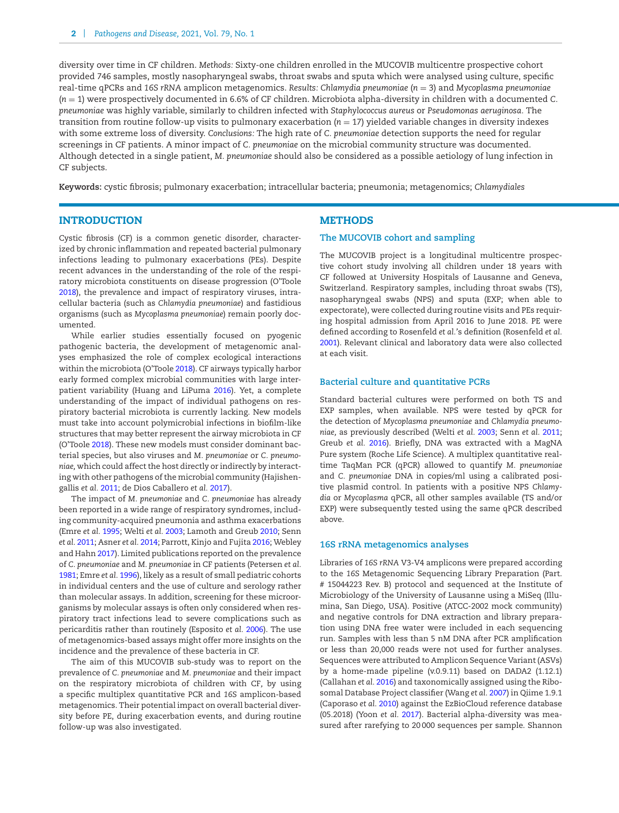diversity over time in CF children. *Methods:* Sixty-one children enrolled in the MUCOVIB multicentre prospective cohort provided 746 samples, mostly nasopharyngeal swabs, throat swabs and sputa which were analysed using culture, specific real-time qPCRs and *16S rRNA* amplicon metagenomics. *Results: Chlamydia pneumoniae* (*n* = 3) and *Mycoplasma pneumoniae* (*n* = 1) were prospectively documented in 6.6% of CF children. Microbiota alpha-diversity in children with a documented *C. pneumoniae* was highly variable, similarly to children infected with *Staphylococcus aureus* or *Pseudomonas aeruginosa.* The transition from routine follow-up visits to pulmonary exacerbation (*n* = 17) yielded variable changes in diversity indexes with some extreme loss of diversity. *Conclusions:* The high rate of *C. pneumoniae* detection supports the need for regular screenings in CF patients. A minor impact of *C. pneumoniae* on the microbial community structure was documented. Although detected in a single patient, *M. pneumoniae* should also be considered as a possible aetiology of lung infection in CF subjects.

**Keywords:** cystic fibrosis; pulmonary exacerbation; intracellular bacteria; pneumonia; metagenomics; *Chlamydiales*

# **INTRODUCTION**

Cystic fibrosis (CF) is a common genetic disorder, characterized by chronic inflammation and repeated bacterial pulmonary infections leading to pulmonary exacerbations (PEs). Despite recent advances in the understanding of the role of the respiratory microbiota constituents on disease progression (O'Toole [2018\)](#page-5-0), the prevalence and impact of respiratory viruses, intracellular bacteria (such as *Chlamydia pneumoniae*) and fastidious organisms (such as *Mycoplasma pneumoniae*) remain poorly documented.

While earlier studies essentially focused on pyogenic pathogenic bacteria, the development of metagenomic analyses emphasized the role of complex ecological interactions within the microbiota (O'Toole [2018\)](#page-5-0). CF airways typically harbor early formed complex microbial communities with large interpatient variability (Huang and LiPuma [2016\)](#page-5-1). Yet, a complete understanding of the impact of individual pathogens on respiratory bacterial microbiota is currently lacking. New models must take into account polymicrobial infections in biofilm-like structures that may better represent the airway microbiota in CF (O'Toole [2018\)](#page-5-0). These new models must consider dominant bacterial species, but also viruses and *M. pneumoniae* or *C. pneumoniae,* which could affect the host directly or indirectly by interacting with other pathogens of the microbial community (Hajishengallis *et al.* [2011;](#page-5-2) de Dios Caballero *et al.* [2017\)](#page-5-3).

The impact of *M. pneumoniae* and *C. pneumoniae* has already been reported in a wide range of respiratory syndromes, including community-acquired pneumonia and asthma exacerbations (Emre *et al.* [1995;](#page-5-4) Welti *et al.* [2003;](#page-6-0) Lamoth and Greub [2010;](#page-5-5) Senn *et al.* [2011;](#page-5-6) Asner *et al.* [2014;](#page-5-7) Parrott, Kinjo and Fujita [2016;](#page-5-8) Webley and Hahn [2017\)](#page-5-9). Limited publications reported on the prevalence of *C. pneumoniae* and *M. pneumoniae* in CF patients (Petersen *et al.* [1981;](#page-5-10) Emre *et al.* [1996\)](#page-5-11), likely as a result of small pediatric cohorts in individual centers and the use of culture and serology rather than molecular assays. In addition, screening for these microorganisms by molecular assays is often only considered when respiratory tract infections lead to severe complications such as pericarditis rather than routinely (Esposito *et al.* [2006\)](#page-5-12). The use of metagenomics-based assays might offer more insights on the incidence and the prevalence of these bacteria in CF.

The aim of this MUCOVIB sub-study was to report on the prevalence of *C. pneumoniae* and *M. pneumoniae* and their impact on the respiratory microbiota of children with CF*,* by using a specific multiplex quantitative PCR and *16S* amplicon-based metagenomics. Their potential impact on overall bacterial diversity before PE, during exacerbation events, and during routine follow-up was also investigated.

# **METHODS**

#### **The MUCOVIB cohort and sampling**

The MUCOVIB project is a longitudinal multicentre prospective cohort study involving all children under 18 years with CF followed at University Hospitals of Lausanne and Geneva, Switzerland. Respiratory samples, including throat swabs (TS), nasopharyngeal swabs (NPS) and sputa (EXP; when able to expectorate), were collected during routine visits and PEs requiring hospital admission from April 2016 to June 2018. PE were defined according to Rosenfeld *et al.'*s definition (Rosenfeld *et al.* [2001\)](#page-5-13). Relevant clinical and laboratory data were also collected at each visit.

#### **Bacterial culture and quantitative PCRs**

Standard bacterial cultures were performed on both TS and EXP samples, when available. NPS were tested by qPCR for the detection of *Mycoplasma pneumoniae* and *Chlamydia pneumoniae,* as previously described (Welti *et al.* [2003;](#page-6-0) Senn *et al.* [2011;](#page-5-6) Greub *et al.* [2016\)](#page-5-14). Briefly, DNA was extracted with a MagNA Pure system (Roche Life Science). A multiplex quantitative realtime TaqMan PCR (qPCR) allowed to quantify *M. pneumoniae* and *C. pneumoniae* DNA in copies/ml using a calibrated positive plasmid control. In patients with a positive NPS *Chlamydia* or *Mycoplasma* qPCR, all other samples available (TS and/or EXP) were subsequently tested using the same qPCR described above.

#### **16S rRNA metagenomics analyses**

Libraries of *16S rRNA* V3-V4 amplicons were prepared according to the *16S* Metagenomic Sequencing Library Preparation (Part. # 15044223 Rev. B) protocol and sequenced at the Institute of Microbiology of the University of Lausanne using a MiSeq (Illumina, San Diego, USA). Positive (ATCC-2002 mock community) and negative controls for DNA extraction and library preparation using DNA free water were included in each sequencing run. Samples with less than 5 nM DNA after PCR amplification or less than 20,000 reads were not used for further analyses. Sequences were attributed to Amplicon Sequence Variant (ASVs) by a home-made pipeline (v.0.9.11) based on DADA2 (1.12.1) (Callahan *et al.* [2016\)](#page-5-15) and taxonomically assigned using the Ribosomal Database Project classifier (Wang *et al.* [2007\)](#page-5-16) in Qiime 1.9.1 (Caporaso *et al.* [2010\)](#page-5-17) against the EzBioCloud reference database (05.2018) (Yoon *et al.* [2017\)](#page-6-1). Bacterial alpha-diversity was measured after rarefying to 20 000 sequences per sample. Shannon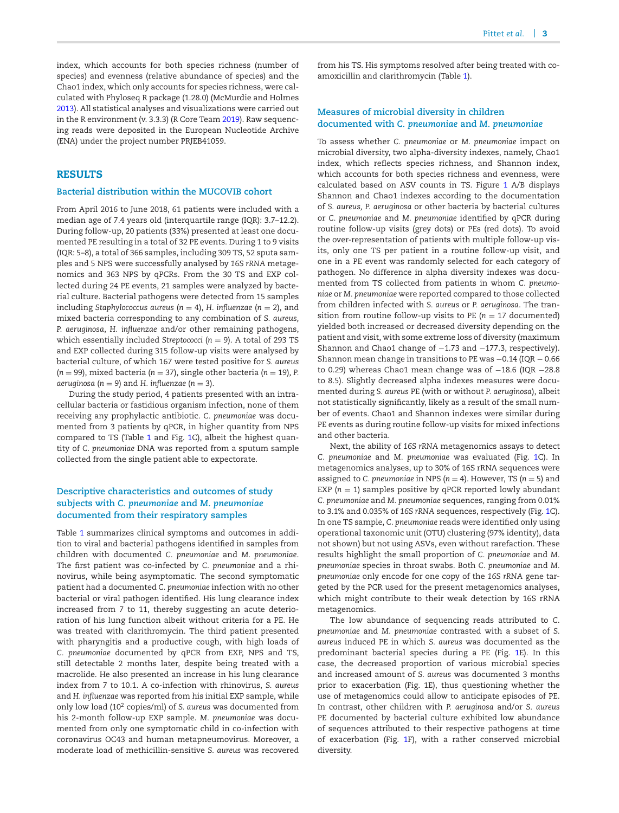index, which accounts for both species richness (number of species) and evenness (relative abundance of species) and the Chao1 index, which only accounts for species richness, were calculated with Phyloseq R package (1.28.0) (McMurdie and Holmes [2013\)](#page-5-18). All statistical analyses and visualizations were carried out in the R environment (v. 3.3.3) (R Core Team [2019\)](#page-5-19). Raw sequencing reads were deposited in the European Nucleotide Archive (ENA) under the project number PRJEB41059.

# **RESULTS**

#### **Bacterial distribution within the MUCOVIB cohort**

From April 2016 to June 2018, 61 patients were included with a median age of 7.4 years old (interquartile range (IQR): 3.7–12.2). During follow-up, 20 patients (33%) presented at least one documented PE resulting in a total of 32 PE events. During 1 to 9 visits (IQR: 5–8), a total of 366 samples, including 309 TS, 52 sputa samples and 5 NPS were successfully analysed by *16S rRNA* metagenomics and 363 NPS by qPCRs. From the 30 TS and EXP collected during 24 PE events, 21 samples were analyzed by bacterial culture. Bacterial pathogens were detected from 15 samples including *Staphylococcus aureus* (*n* = 4), *H. influenzae* (*n* = 2), and mixed bacteria corresponding to any combination of *S. aureus, P. aeruginosa*, *H. influenzae* and/or other remaining pathogens, which essentially included *Streptococci* ( $n = 9$ ). A total of 293 TS and EXP collected during 315 follow-up visits were analysed by bacterial culture, of which 167 were tested positive for *S. aureus*  $(n = 99)$ , mixed bacteria ( $n = 37$ ), single other bacteria ( $n = 19$ ), P. *aeruginosa* ( $n = 9$ ) and *H. influenzae* ( $n = 3$ ).

During the study period, 4 patients presented with an intracellular bacteria or fastidious organism infection, none of them receiving any prophylactic antibiotic. *C. pneumoniae* was documented from 3 patients by qPCR, in higher quantity from NPS compared to TS (Table [1](#page-3-0) and Fig. [1C](#page-4-0)), albeit the highest quantity of *C. pneumoniae* DNA was reported from a sputum sample collected from the single patient able to expectorate.

# **Descriptive characteristics and outcomes of study subjects with** *C. pneumoniae* **and** *M. pneumoniae* **documented from their respiratory samples**

Table [1](#page-3-0) summarizes clinical symptoms and outcomes in addition to viral and bacterial pathogens identified in samples from children with documented *C. pneumoniae* and *M. pneumoniae*. The first patient was co-infected by *C. pneumoniae* and a rhinovirus, while being asymptomatic. The second symptomatic patient had a documented *C. pneumoniae* infection with no other bacterial or viral pathogen identified. His lung clearance index increased from 7 to 11, thereby suggesting an acute deterioration of his lung function albeit without criteria for a PE. He was treated with clarithromycin. The third patient presented with pharyngitis and a productive cough, with high loads of *C. pneumoniae* documented by qPCR from EXP, NPS and TS, still detectable 2 months later, despite being treated with a macrolide. He also presented an increase in his lung clearance index from 7 to 10.1. A co-infection with rhinovirus, *S. aureus* and *H. influenzae* was reported from his initial EXP sample, while only low load (102 copies/ml) of *S. aureus* was documented from his 2-month follow-up EXP sample. *M. pneumoniae* was documented from only one symptomatic child in co-infection with coronavirus OC43 and human metapneumovirus. Moreover, a moderate load of methicillin-sensitive *S. aureus* was recovered

from his TS. His symptoms resolved after being treated with coamoxicillin and clarithromycin (Table [1\)](#page-3-0).

#### **Measures of microbial diversity in children documented with** *C. pneumoniae* **and** *M. pneumoniae*

To assess whether *C. pneumoniae* or *M. pneumoniae* impact on microbial diversity, two alpha-diversity indexes, namely, Chao1 index, which reflects species richness, and Shannon index, which accounts for both species richness and evenness, were calculated based on ASV counts in TS. Figure [1](#page-4-0) A/B displays Shannon and Chao1 indexes according to the documentation of *S. aureus, P. aeruginosa* or other bacteria by bacterial cultures or *C. pneumoniae* and *M. pneumoniae* identified by qPCR during routine follow-up visits (grey dots) or PEs (red dots). To avoid the over-representation of patients with multiple follow-up visits, only one TS per patient in a routine follow-up visit, and one in a PE event was randomly selected for each category of pathogen. No difference in alpha diversity indexes was documented from TS collected from patients in whom *C. pneumoniae* or *M. pneumoniae* were reported compared to those collected from children infected with *S. aureus* or *P. aeruginosa*. The transition from routine follow-up visits to PE ( $n = 17$  documented) yielded both increased or decreased diversity depending on the patient and visit, with some extreme loss of diversity (maximum Shannon and Chao1 change of −1.73 and −177.3, respectively). Shannon mean change in transitions to PE was −0.14 (IQR − 0.66 to 0.29) whereas Chao1 mean change was of −18.6 (IQR −28.8 to 8.5). Slightly decreased alpha indexes measures were documented during *S. aureus* PE (with or without *P. aeruginosa*), albeit not statistically significantly, likely as a result of the small number of events. Chao1 and Shannon indexes were similar during PE events as during routine follow-up visits for mixed infections and other bacteria.

Next, the ability of *16S rRNA* metagenomics assays to detect *C. pneumoniae* and *M. pneumoniae* was evaluated (Fig. [1C](#page-4-0)). In metagenomics analyses, up to 30% of 16S rRNA sequences were assigned to *C. pneumoniae* in NPS ( $n = 4$ ). However, TS ( $n = 5$ ) and EXP  $(n = 1)$  samples positive by qPCR reported lowly abundant *C. pneumoniae* and *M. pneumoniae* sequences, ranging from 0.01% to 3.1% and 0.035% of *16S rRNA* sequences, respectively (Fig. [1C](#page-4-0)). In one TS sample, *C. pneumoniae* reads were identified only using operational taxonomic unit (OTU) clustering (97% identity), data not shown) but not using ASVs, even without rarefaction. These results highlight the small proportion of *C. pneumoniae* and *M. pneumoniae* species in throat swabs. Both *C. pneumoniae* and *M. pneumoniae* only encode for one copy of the *16S rRNA* gene targeted by the PCR used for the present metagenomics analyses, which might contribute to their weak detection by 16S rRNA metagenomics.

The low abundance of sequencing reads attributed to *C. pneumoniae* and *M. pneumoniae* contrasted with a subset of *S. aureus* induced PE in which *S. aureus* was documented as the predominant bacterial species during a PE (Fig. [1E](#page-4-0)). In this case, the decreased proportion of various microbial species and increased amount of *S. aureus* was documented 3 months prior to exacerbation (Fig. 1E), thus questioning whether the use of metagenomics could allow to anticipate episodes of PE. In contrast, other children with *P. aeruginosa* and/or *S. aureus* PE documented by bacterial culture exhibited low abundance of sequences attributed to their respective pathogens at time of exacerbation (Fig. [1F](#page-4-0)), with a rather conserved microbial diversity.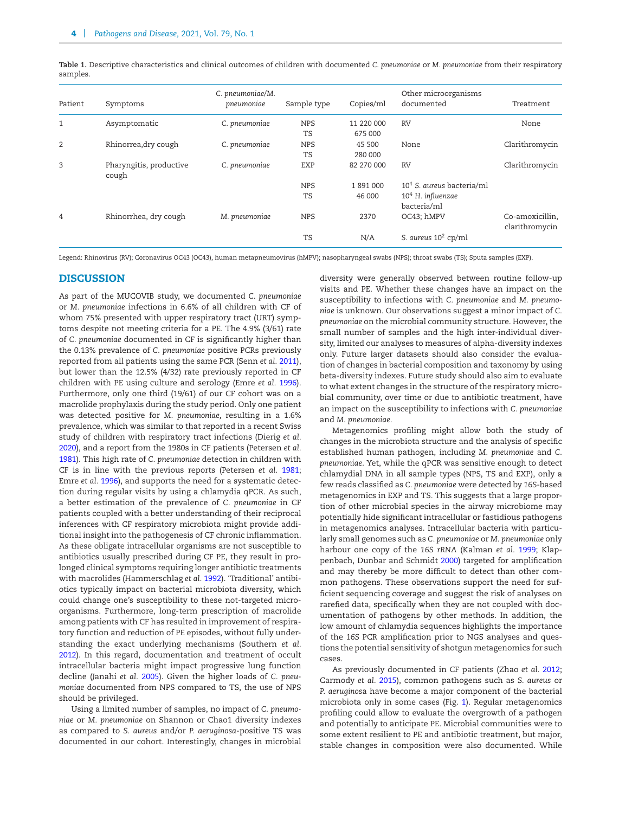|              |                                  | C. pneumoniae/M. |             |            | Other microorganisms            |                                   |
|--------------|----------------------------------|------------------|-------------|------------|---------------------------------|-----------------------------------|
| Patient      | Symptoms                         | pneumoniae       | Sample type | Copies/ml  | documented                      | Treatment                         |
| $\mathbf{1}$ | Asymptomatic                     | C. pneumoniae    | <b>NPS</b>  | 11 220 000 | <b>RV</b>                       | None                              |
|              |                                  |                  | TS          | 675 000    |                                 |                                   |
| 2            | Rhinorrea, dry cough             | C. pneumoniae    | <b>NPS</b>  | 45 500     | None                            | Clarithromycin                    |
|              |                                  |                  | <b>TS</b>   | 280 000    |                                 |                                   |
| 3            | Pharyngitis, productive<br>cough | C. pneumoniae    | EXP         | 82 270 000 | <b>RV</b>                       | Clarithromycin                    |
|              |                                  |                  | <b>NPS</b>  | 1891000    | $104$ S. aureus bacteria/ml     |                                   |
|              |                                  |                  | <b>TS</b>   | 46 000     | $104$ H. influenzae             |                                   |
|              |                                  |                  |             |            | bacteria/ml                     |                                   |
| 4            | Rhinorrhea, dry cough            | M. pneumoniae    | <b>NPS</b>  | 2370       | OC43; hMPV                      | Co-amoxicillin,<br>clarithromycin |
|              |                                  |                  | <b>TS</b>   | N/A        | S. aureus 10 <sup>2</sup> cp/ml |                                   |

<span id="page-3-0"></span>**Table 1.** Descriptive characteristics and clinical outcomes of children with documented *C. pneumoniae* or *M. pneumoniae* from their respiratory samples.

Legend: Rhinovirus (RV); Coronavirus OC43 (OC43), human metapneumovirus (hMPV); nasopharyngeal swabs (NPS); throat swabs (TS); Sputa samples (EXP).

#### **DISCUSSION**

As part of the MUCOVIB study, we documented *C. pneumoniae* or *M. pneumoniae* infections in 6.6% of all children with CF of whom 75% presented with upper respiratory tract (URT) symptoms despite not meeting criteria for a PE. The 4.9% (3/61) rate of *C. pneumoniae* documented in CF is significantly higher than the 0.13% prevalence of *C. pneumoniae* positive PCRs previously reported from all patients using the same PCR (Senn *et al.* [2011\)](#page-5-6), but lower than the 12.5% (4/32) rate previously reported in CF children with PE using culture and serology (Emre *et al.* [1996\)](#page-5-11). Furthermore, only one third (19/61) of our CF cohort was on a macrolide prophylaxis during the study period. Only one patient was detected positive for *M. pneumoniae,* resulting in a 1.6% prevalence, which was similar to that reported in a recent Swiss study of children with respiratory tract infections (Dierig *et al.* [2020\)](#page-5-20), and a report from the 1980s in CF patients (Petersen *et al.* [1981\)](#page-5-10). This high rate of *C. pneumoniae* detection in children with CF is in line with the previous reports (Petersen *et al.* [1981;](#page-5-10) Emre *et al.* [1996\)](#page-5-11), and supports the need for a systematic detection during regular visits by using a chlamydia qPCR. As such, a better estimation of the prevalence of *C. pneumoniae* in CF patients coupled with a better understanding of their reciprocal inferences with CF respiratory microbiota might provide additional insight into the pathogenesis of CF chronic inflammation. As these obligate intracellular organisms are not susceptible to antibiotics usually prescribed during CF PE, they result in prolonged clinical symptoms requiring longer antibiotic treatments with macrolides (Hammerschlag *et al.* [1992\)](#page-5-21). 'Traditional' antibiotics typically impact on bacterial microbiota diversity, which could change one's susceptibility to these not-targeted microorganisms. Furthermore, long-term prescription of macrolide among patients with CF has resulted in improvement of respiratory function and reduction of PE episodes, without fully understanding the exact underlying mechanisms (Southern *et al.* [2012\)](#page-5-22). In this regard, documentation and treatment of occult intracellular bacteria might impact progressive lung function decline (Janahi *et al.* [2005\)](#page-5-23). Given the higher loads of *C. pneumoniae* documented from NPS compared to TS, the use of NPS should be privileged.

Using a limited number of samples, no impact of *C. pneumoniae* or *M. pneumoniae* on Shannon or Chao1 diversity indexes as compared to *S. aureus* and/or *P. aeruginosa*-positive TS was documented in our cohort. Interestingly, changes in microbial diversity were generally observed between routine follow-up visits and PE. Whether these changes have an impact on the susceptibility to infections with *C. pneumoniae* and *M. pneumoniae* is unknown*.* Our observations suggest a minor impact of *C. pneumoniae* on the microbial community structure. However, the small number of samples and the high inter-individual diversity, limited our analyses to measures of alpha-diversity indexes only. Future larger datasets should also consider the evaluation of changes in bacterial composition and taxonomy by using beta-diversity indexes. Future study should also aim to evaluate to what extent changes in the structure of the respiratory microbial community, over time or due to antibiotic treatment, have an impact on the susceptibility to infections with *C. pneumoniae* and *M. pneumoniae.*

Metagenomics profiling might allow both the study of changes in the microbiota structure and the analysis of specific established human pathogen, including *M. pneumoniae* and *C. pneumoniae*. Yet, while the qPCR was sensitive enough to detect chlamydial DNA in all sample types (NPS, TS and EXP), only a few reads classified as *C. pneumoniae* were detected by *16S*-based metagenomics in EXP and TS*.* This suggests that a large proportion of other microbial species in the airway microbiome may potentially hide significant intracellular or fastidious pathogens in metagenomics analyses. Intracellular bacteria with particularly small genomes such as *C. pneumoniae* or *M. pneumoniae* only harbour one copy of the *16S rRNA* (Kalman *et al.* [1999;](#page-5-24) Klappenbach, Dunbar and Schmidt [2000\)](#page-5-25) targeted for amplification and may thereby be more difficult to detect than other common pathogens. These observations support the need for sufficient sequencing coverage and suggest the risk of analyses on rarefied data, specifically when they are not coupled with documentation of pathogens by other methods. In addition, the low amount of chlamydia sequences highlights the importance of the *16S* PCR amplification prior to NGS analyses and questions the potential sensitivity of shotgun metagenomics for such cases.

As previously documented in CF patients (Zhao *et al.* [2012;](#page-6-2) Carmody *et al.* [2015\)](#page-5-26), common pathogens such as *S. aureus* or *P. aeruginos*a have become a major component of the bacterial microbiota only in some cases (Fig. [1\)](#page-4-0). Regular metagenomics profiling could allow to evaluate the overgrowth of a pathogen and potentially to anticipate PE. Microbial communities were to some extent resilient to PE and antibiotic treatment, but major, stable changes in composition were also documented. While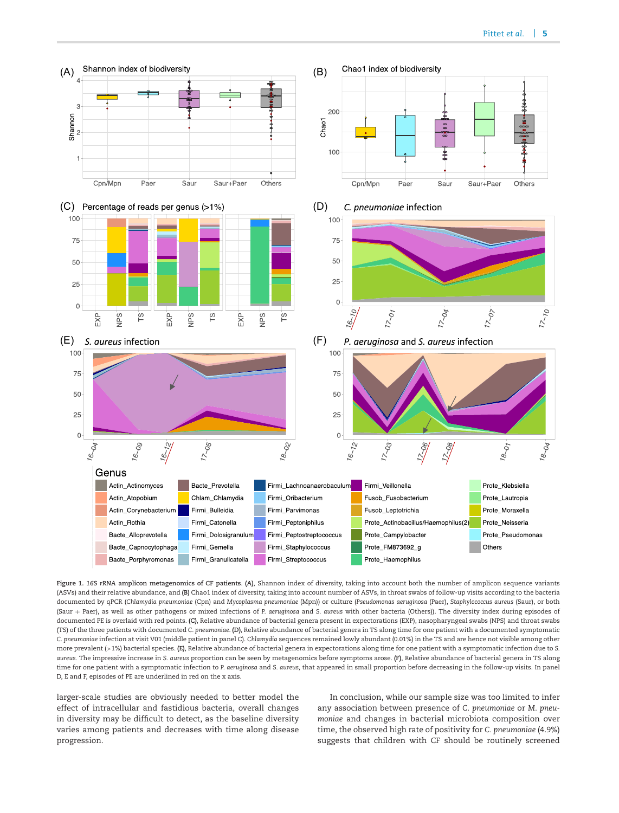<span id="page-4-0"></span>

**Figure 1.** *16S rRNA* **amplicon metagenomics of CF patients**. **(A)**, Shannon index of diversity, taking into account both the number of amplicon sequence variants (ASVs) and their relative abundance, and **(B)** Chao1 index of diversity, taking into account number of ASVs, in throat swabs of follow-up visits according to the bacteria documented by qPCR (*Chlamydia pneumoniae* (Cpn) and *Mycoplasma pneumoniae* (Mpn)) or culture (*Pseudomonas aeruginosa* (Paer), *Staphylococcus aureus* (Saur), or both (Saur + Paer), as well as other pathogens or mixed infections of *P. aeruginosa* and *S. aureus* with other bacteria (Others)). The diversity index during episodes of documented PE is overlaid with red points. **(C)**, Relative abundance of bacterial genera present in expectorations (EXP), nasopharyngeal swabs (NPS) and throat swabs (TS) of the three patients with documented *C. pneumoniae*. **(D)**, Relative abundance of bacterial genera in TS along time for one patient with a documented symptomatic *C. pneumoniae* infection at visit V01 (middle patient in panel C). *Chlamydia* sequences remained lowly abundant (0.01%) in the TS and are hence not visible among other more prevalent (>1%) bacterial species. **(E)**, Relative abundance of bacterial genera in expectorations along time for one patient with a symptomatic infection due to *S. aureus.* The impressive increase in *S. aureus* proportion can be seen by metagenomics before symptoms arose. **(F)**, Relative abundance of bacterial genera in TS along time for one patient with a symptomatic infection to *P. aeruginosa* and *S. aureus,* that appeared in small proportion before decreasing in the follow-up visits. In panel D, E and F, episodes of PE are underlined in red on the x axis.

larger-scale studies are obviously needed to better model the effect of intracellular and fastidious bacteria, overall changes in diversity may be difficult to detect, as the baseline diversity varies among patients and decreases with time along disease progression.

In conclusion, while our sample size was too limited to infer any association between presence of *C. pneumoniae* or *M. pneumoniae* and changes in bacterial microbiota composition over time, the observed high rate of positivity for *C. pneumoniae* (4.9%) suggests that children with CF should be routinely screened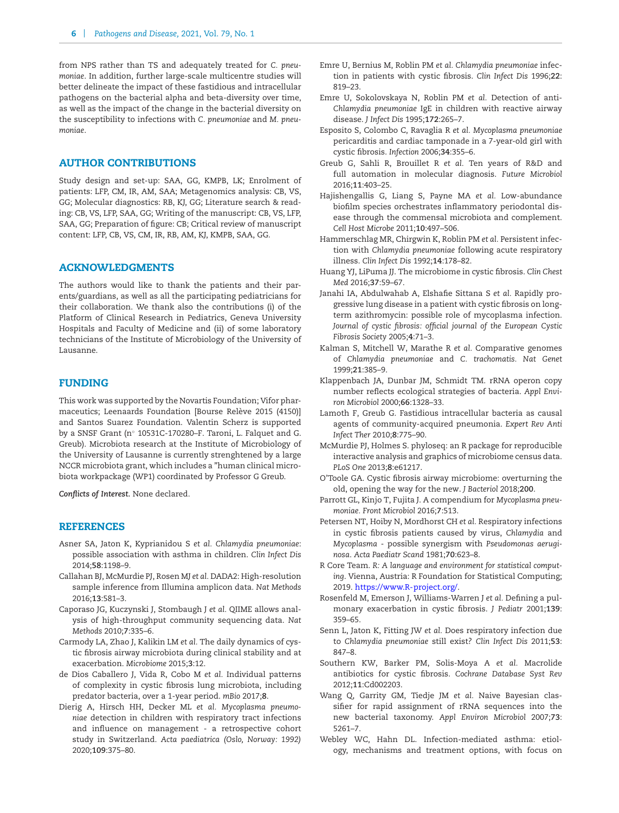from NPS rather than TS and adequately treated for *C. pneumoniae*. In addition, further large-scale multicentre studies will better delineate the impact of these fastidious and intracellular pathogens on the bacterial alpha and beta-diversity over time, as well as the impact of the change in the bacterial diversity on the susceptibility to infections with *C. pneumoniae* and *M. pneumoniae*.

# **AUTHOR CONTRIBUTIONS**

Study design and set-up: SAA, GG, KMPB, LK; Enrolment of patients: LFP, CM, IR, AM, SAA; Metagenomics analysis: CB, VS, GG; Molecular diagnostics: RB, KJ, GG; Literature search & reading: CB, VS, LFP, SAA, GG; Writing of the manuscript: CB, VS, LFP, SAA, GG; Preparation of figure: CB; Critical review of manuscript content: LFP, CB, VS, CM, IR, RB, AM, KJ, KMPB, SAA, GG.

#### **ACKNOWLEDGMENTS**

The authors would like to thank the patients and their parents/guardians, as well as all the participating pediatricians for their collaboration. We thank also the contributions (i) of the Platform of Clinical Research in Pediatrics, Geneva University Hospitals and Faculty of Medicine and (ii) of some laboratory technicians of the Institute of Microbiology of the University of Lausanne.

# **FUNDING**

This work was supported by the Novartis Foundation; Vifor pharmaceutics; Leenaards Foundation [Bourse Relève 2015 (4150)] and Santos Suarez Foundation. Valentin Scherz is supported by a SNSF Grant (n◦ 10531C-170280–F. Taroni, L. Falquet and G. Greub). Microbiota research at the Institute of Microbiology of the University of Lausanne is currently strenghtened by a large NCCR microbiota grant, which includes a "human clinical microbiota workpackage (WP1) coordinated by Professor G Greub.

*Conflicts of Interest.* None declared.

## **REFERENCES**

- <span id="page-5-7"></span>Asner SA, Jaton K, Kyprianidou S *et al. Chlamydia pneumoniae*: possible association with asthma in children. *Clin Infect Dis* 2014;**58**:1198–9.
- <span id="page-5-15"></span>Callahan BJ, McMurdie PJ, Rosen MJ *et al.* DADA2: High-resolution sample inference from Illumina amplicon data. *Nat Methods* 2016;**13**:581–3.
- <span id="page-5-17"></span>Caporaso JG, Kuczynski J, Stombaugh J *et al.* QIIME allows analysis of high-throughput community sequencing data. *Nat Methods* 2010;**7**:335–6.
- <span id="page-5-26"></span>Carmody LA, Zhao J, Kalikin LM *et al.* The daily dynamics of cystic fibrosis airway microbiota during clinical stability and at exacerbation. *Microbiome* 2015;**3**:12.
- <span id="page-5-3"></span>de Dios Caballero J, Vida R, Cobo M *et al.* Individual patterns of complexity in cystic fibrosis lung microbiota, including predator bacteria, over a 1-year period. *mBio* 2017;**8**.
- <span id="page-5-20"></span>Dierig A, Hirsch HH, Decker ML *et al. Mycoplasma pneumoniae* detection in children with respiratory tract infections and influence on management - a retrospective cohort study in Switzerland. *Acta paediatrica (Oslo, Norway: 1992)* 2020;**109**:375–80.
- <span id="page-5-11"></span>Emre U, Bernius M, Roblin PM *et al. Chlamydia pneumoniae* infection in patients with cystic fibrosis. *Clin Infect Dis* 1996;**22**: 819–23.
- <span id="page-5-4"></span>Emre U, Sokolovskaya N, Roblin PM *et al.* Detection of anti-*Chlamydia pneumoniae* IgE in children with reactive airway disease. *J Infect Dis* 1995;**172**:265–7.
- <span id="page-5-12"></span>Esposito S, Colombo C, Ravaglia R *et al. Mycoplasma pneumoniae* pericarditis and cardiac tamponade in a 7-year-old girl with cystic fibrosis. *Infection* 2006;**34**:355–6.
- <span id="page-5-14"></span>Greub G, Sahli R, Brouillet R *et al.* Ten years of R&D and full automation in molecular diagnosis. *Future Microbiol* 2016;**11**:403–25.
- <span id="page-5-2"></span>Hajishengallis G, Liang S, Payne MA *et al.* Low-abundance biofilm species orchestrates inflammatory periodontal disease through the commensal microbiota and complement. *Cell Host Microbe* 2011;**10**:497–506.
- <span id="page-5-21"></span>Hammerschlag MR, Chirgwin K, Roblin PM *et al.* Persistent infection with *Chlamydia pneumoniae* following acute respiratory illness. *Clin Infect Dis* 1992;**14**:178–82.
- <span id="page-5-1"></span>Huang YJ, LiPuma JJ. The microbiome in cystic fibrosis. *Clin Chest Med* 2016;**37**:59–67.
- <span id="page-5-23"></span>Janahi IA, Abdulwahab A, Elshafie Sittana S *et al.* Rapidly progressive lung disease in a patient with cystic fibrosis on longterm azithromycin: possible role of mycoplasma infection. *Journal of cystic fibrosis: official journal of the European Cystic Fibrosis Society* 2005;**4**:71–3.
- <span id="page-5-24"></span>Kalman S, Mitchell W, Marathe R *et al.* Comparative genomes of *Chlamydia pneumoniae* and *C. trachomatis. Nat Genet* 1999;**21**:385–9.
- <span id="page-5-25"></span>Klappenbach JA, Dunbar JM, Schmidt TM. rRNA operon copy number reflects ecological strategies of bacteria. *Appl Environ Microbiol* 2000;**66**:1328–33.
- <span id="page-5-5"></span>Lamoth F, Greub G. Fastidious intracellular bacteria as causal agents of community-acquired pneumonia. *Expert Rev Anti Infect Ther* 2010;**8**:775–90.
- <span id="page-5-18"></span>McMurdie PJ, Holmes S. phyloseq: an R package for reproducible interactive analysis and graphics of microbiome census data. *PLoS One* 2013;**8**:e61217.
- <span id="page-5-0"></span>O'Toole GA. Cystic fibrosis airway microbiome: overturning the old, opening the way for the new. *J Bacteriol* 2018;**200**.
- <span id="page-5-8"></span>Parrott GL, Kinjo T, Fujita J. A compendium for *Mycoplasma pneumoniae. Front Microbiol* 2016;**7**:513.
- <span id="page-5-10"></span>Petersen NT, Hoiby N, Mordhorst CH *et al.* Respiratory infections in cystic fibrosis patients caused by virus, *Chlamydia* and *Mycoplasma* - possible synergism with *Pseudomonas aeruginosa*. *Acta Paediatr Scand* 1981;**70**:623–8.
- <span id="page-5-19"></span>R Core Team. *R: A language and environment for statistical computing*. Vienna, Austria: R Foundation for Statistical Computing; 2019. [https://www.R-project.org/.](https://www.R-project.org/)
- <span id="page-5-13"></span>Rosenfeld M, Emerson J, Williams-Warren J *et al.* Defining a pulmonary exacerbation in cystic fibrosis. *J Pediatr* 2001;**139**: 359–65.
- <span id="page-5-6"></span>Senn L, Jaton K, Fitting JW *et al.* Does respiratory infection due to *Chlamydia pneumoniae* still exist? *Clin Infect Dis* 2011;**53**: 847–8.
- <span id="page-5-22"></span>Southern KW, Barker PM, Solis-Moya A *et al.* Macrolide antibiotics for cystic fibrosis. *Cochrane Database Syst Rev* 2012;**11**:Cd002203.
- <span id="page-5-16"></span>Wang Q, Garrity GM, Tiedje JM *et al.* Naive Bayesian classifier for rapid assignment of rRNA sequences into the new bacterial taxonomy. *Appl Environ Microbiol* 2007;**73**: 5261–7.
- <span id="page-5-9"></span>Webley WC, Hahn DL. Infection-mediated asthma: etiology, mechanisms and treatment options, with focus on